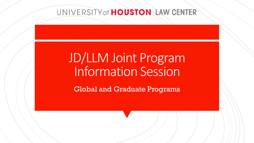# JD/LLM Joint Program Information Session

Global and Graduate Programs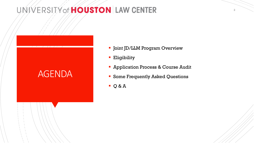#### AGENDA

- **-** Joint JD/LLM Program Overview
- **Eligibility**
- **Application Process & Course Audit**
- **Some Frequently Asked Questions**
- $Q & A$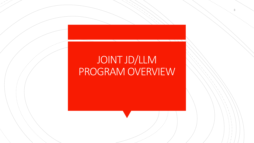# JOINT JD/LLM PROGRAM OVERVIEW

3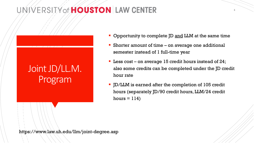#### Joint JD/LL.M. Program

• Opportunity to complete JD and LLM at the same time

4

- Shorter amount of time on average one additional semester instead of 1 full-time year
- **Less cost on average 15 credit hours instead of 24;** also some credits can be completed under the JD credit hour rate
- JD/LLM is earned after the completion of 105 credit hours (separately JD/90 credit hours, LLM/24 credit hours  $= 114$

https://www.law.uh.edu/llm/joint-degree.asp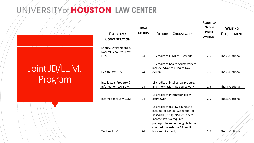#### Joint JD/LL.M. Program

|                                                  | <b>TOTAL</b>   |                                                                                                                                                                                                              | <b>REQUIRED</b><br><b>GRADE</b> | <b>WRITING</b>         |
|--------------------------------------------------|----------------|--------------------------------------------------------------------------------------------------------------------------------------------------------------------------------------------------------------|---------------------------------|------------------------|
| PROGRAM/                                         | <b>CREDITS</b> | <b>REQUIRED COURSEWORK</b>                                                                                                                                                                                   | <b>POINT</b>                    | <b>REQUIREMENT</b>     |
| <b>CONCENTRATION</b>                             |                |                                                                                                                                                                                                              | <b>AVERAGE</b>                  |                        |
| Energy, Environment &<br>Natural Resources Law   |                |                                                                                                                                                                                                              |                                 |                        |
| LL.M.                                            | 24             | 15 credits of EENR coursework                                                                                                                                                                                | 2.5                             | <b>Thesis Optional</b> |
|                                                  |                | 18 credits of health coursework to<br>include Advanced Health Law                                                                                                                                            |                                 |                        |
| Health Law LL.M.                                 | 24             | $(5108)$ ,                                                                                                                                                                                                   | 2.5                             | <b>Thesis Optional</b> |
| Intellectual Property &<br>Information Law LL.M. | 24             | 15 credits of intellectual property<br>and information law coursework                                                                                                                                        | 2.5                             | <b>Thesis Optional</b> |
|                                                  |                |                                                                                                                                                                                                              |                                 |                        |
| International Law LL.M.                          | 24             | 15 credits of international law<br>coursework                                                                                                                                                                | 2.5                             | <b>Thesis Optional</b> |
|                                                  |                | 18 credits of tax law courses to<br>include Tax Ethics (5288) and Tax<br>Research (5151), *(5459-Federal<br>Income Tax is a required<br>prerequisite and not eligible to be<br>counted towards the 18 credit |                                 |                        |
| Tax Law LL.M.                                    | 24             | hour requirement)                                                                                                                                                                                            | 2.5                             | Thesis Optional        |

5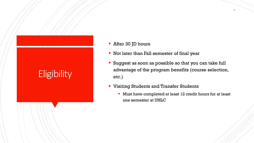# **Eligibility**

- **After 30 JD hours**
- **Not later than Fall semester of final year**
- Suggest as soon as possible so that you can take full advantage of the program benefits (course selection, etc.)
- **Uisiting Students and Transfer Students** 
	- Must have completed at least 12 credit hours for at least one semester at UHLC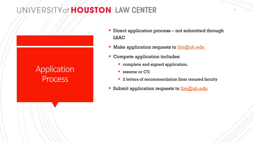#### **Application** Process

- **Direct application process not submitted through** LSAC
- Make application requests to  $\lim_{\omega \to 0} \omega$ uh.edu
- **Compete application includes:** 
	- **Complete and signed application,**
	- **P** resume or CV,
	- <sup>2</sup> 2 letters of recommendation from tenured faculty
- Submit application requests to **[llm@uh.edu](mailto:llm@uh.edu)**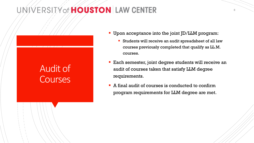### Audit of **Courses**

- **Upon acceptance into the joint JD/LLM program:** 
	- Students will receive an audit spreadsheet of all law courses previously completed that qualify as LL.M. courses.
- **Each semester, joint degree students will receive an** audit of courses taken that satisfy LLM degree requirements.
- A final audit of courses is conducted to confirm program requirements for LLM degree are met.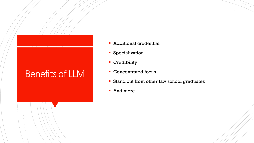#### Benefits of LLM

- **Additional credential**
- **Specialization**
- **Credibility**
- **Concentrated focus**
- **Stand out from other law school graduates**
- And more…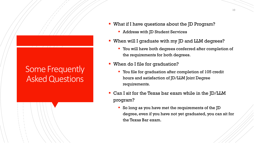#### Some Frequently Asked Questions

- **What if I have questions about the JD Program?** 
	- **Address with JD Student Services**
- When will I graduate with my JD and LLM degrees?
	- You will have both degrees conferred after completion of the requirements for both degrees.
- **When do I file for graduation?** 
	- **You file for graduation after completion of 105 credit** hours and satisfaction of JD/LLM Joint Degree requirements.
- Can I sit for the Texas bar exam while in the JD/LLM program?
	- So long as you have met the requirements of the JD degree, even if you have not yet graduated, you can sit for the Texas Bar exam.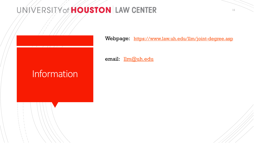Webpage: <https://www.law.uh.edu/llm/joint-degree.asp>

email: lm@uh.edu

### Information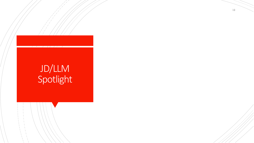# JD/LLM **Spotlight**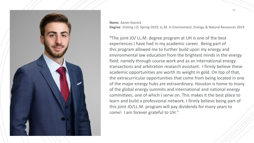

**Name**: Aaron Koenck **Degree**: Visiting J.D. Spring 2019, LL.M. in Environment, Energy, & Natural Resources 2019

**"**The joint JD/ LL.M. degree program at UH is one of the best experiences I have had in my academic career. Being part of this program allowed me to further build upon my energy and environmental law education from the brightest minds in the energy field; namely through course work and as an international energy transactions and arbitration research assistant. I firmly believe these academic opportunities are worth its weight in gold. On top of that, the extracurricular opportunities that come from being located in one of the major energy hubs are extraordinary. Houston is home to many of the global energy summits and international and national energy committees, one of which I serve on. This makes it the best place to learn and build a professional network. I firmly believe being part of this joint JD/LL.M. program will pay dividends for many years to come! I am forever grateful to UH."